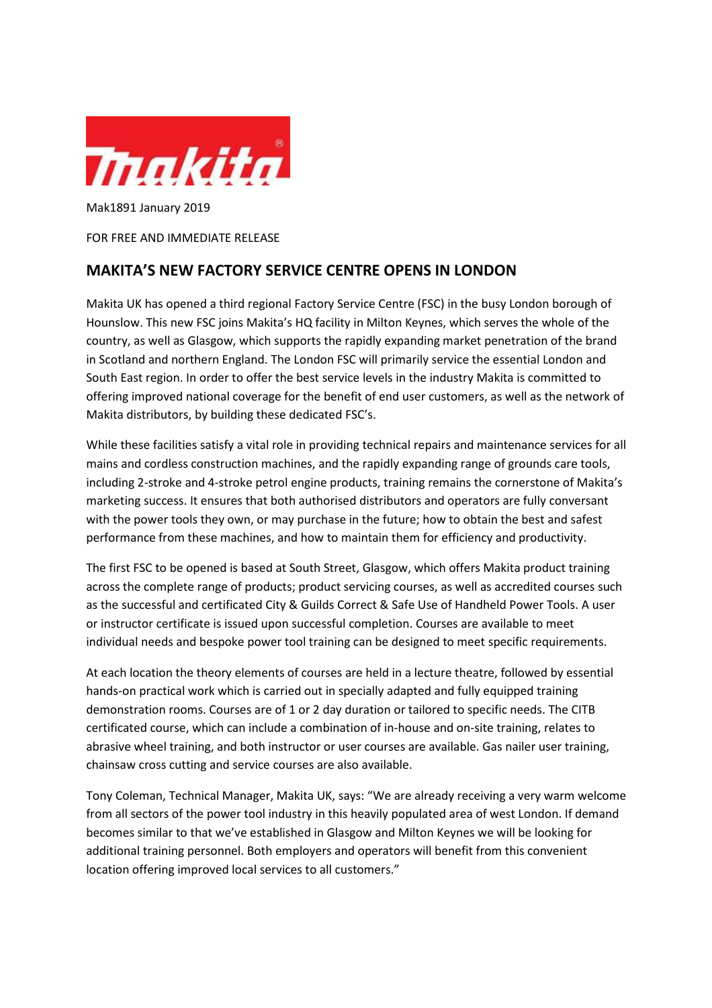

Mak1891 January 2019

FOR FREE AND IMMEDIATE RELEASE

## MAKITA'S NEW FACTORY SERVICE CENTRE OPENS IN LONDON

Makita UK has opened a third regional Factory Service Centre (FSC) in the busy London borough of Hounslow. This new FSC joins Makita's HQ facility in Milton Keynes, which serves the whole of the country, as well as Glasgow, which supports the rapidly expanding market penetration of the brand in Scotland and northern England. The London FSC will primarily service the essential London and South East region. In order to offer the best service levels in the industry Makita is committed to offering improved national coverage for the benefit of end user customers, as well as the network of Makita distributors, by building these dedicated FSC's.

While these facilities satisfy a vital role in providing technical repairs and maintenance services for all mains and cordless construction machines, and the rapidly expanding range of grounds care tools, including 2-stroke and 4-stroke petrol engine products, training remains the cornerstone of Makita's marketing success. It ensures that both authorised distributors and operators are fully conversant with the power tools they own, or may purchase in the future; how to obtain the best and safest performance from these machines, and how to maintain them for efficiency and productivity.

The first FSC to be opened is based at South Street, Glasgow, which offers Makita product training across the complete range of products; product servicing courses, as well as accredited courses such as the successful and certificated City & Guilds Correct & Safe Use of Handheld Power Tools. A user or instructor certificate is issued upon successful completion. Courses are available to meet individual needs and bespoke power tool training can be designed to meet specific requirements.

At each location the theory elements of courses are held in a lecture theatre, followed by essential hands-on practical work which is carried out in specially adapted and fully equipped training demonstration rooms. Courses are of 1 or 2 day duration or tailored to specific needs. The CITB certificated course, which can include a combination of in-house and on-site training, relates to abrasive wheel training, and both instructor or user courses are available. Gas nailer user training, chainsaw cross cutting and service courses are also available.

Tony Coleman, Technical Manager, Makita UK, says: "We are already receiving a very warm welcome from all sectors of the power tool industry in this heavily populated area of west London. If demand becomes similar to that we've established in Glasgow and Milton Keynes we will be looking for additional training personnel. Both employers and operators will benefit from this convenient location offering improved local services to all customers."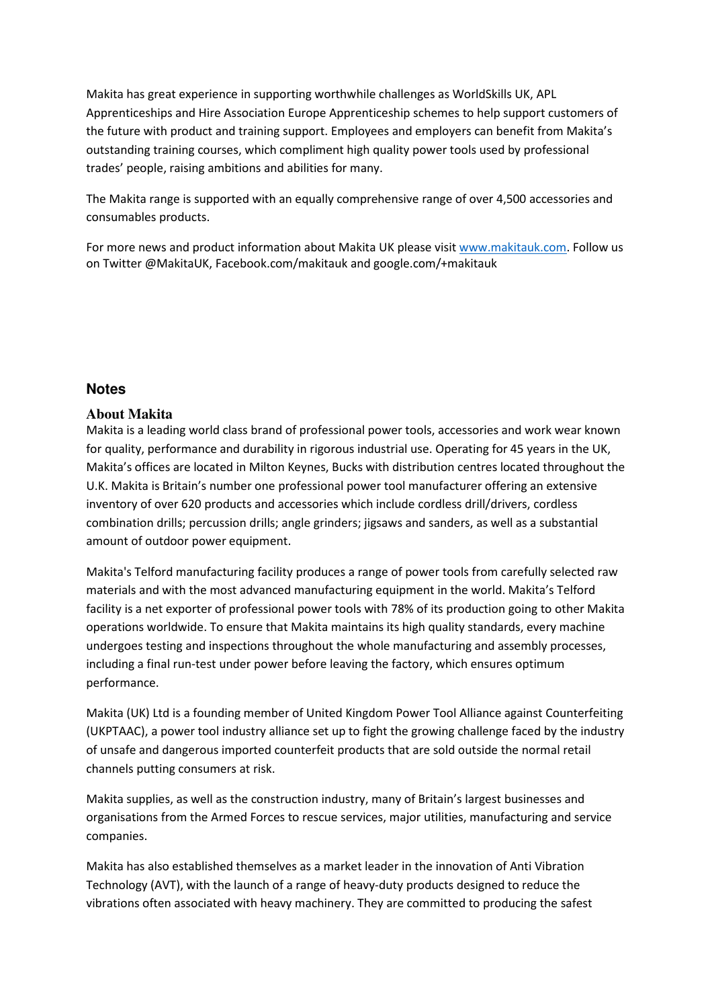Makita has great experience in supporting worthwhile challenges as WorldSkills UK, APL Apprenticeships and Hire Association Europe Apprenticeship schemes to help support customers of the future with product and training support. Employees and employers can benefit from Makita's outstanding training courses, which compliment high quality power tools used by professional trades' people, raising ambitions and abilities for many.

The Makita range is supported with an equally comprehensive range of over 4,500 accessories and consumables products.

For more news and product information about Makita UK please visit www.makitauk.com. Follow us on Twitter @MakitaUK, Facebook.com/makitauk and google.com/+makitauk

## **Notes**

## **About Makita**

Makita is a leading world class brand of professional power tools, accessories and work wear known for quality, performance and durability in rigorous industrial use. Operating for 45 years in the UK, Makita's offices are located in Milton Keynes, Bucks with distribution centres located throughout the U.K. Makita is Britain's number one professional power tool manufacturer offering an extensive inventory of over 620 products and accessories which include cordless drill/drivers, cordless combination drills; percussion drills; angle grinders; jigsaws and sanders, as well as a substantial amount of outdoor power equipment.

Makita's Telford manufacturing facility produces a range of power tools from carefully selected raw materials and with the most advanced manufacturing equipment in the world. Makita's Telford facility is a net exporter of professional power tools with 78% of its production going to other Makita operations worldwide. To ensure that Makita maintains its high quality standards, every machine undergoes testing and inspections throughout the whole manufacturing and assembly processes, including a final run-test under power before leaving the factory, which ensures optimum performance.

Makita (UK) Ltd is a founding member of United Kingdom Power Tool Alliance against Counterfeiting (UKPTAAC), a power tool industry alliance set up to fight the growing challenge faced by the industry of unsafe and dangerous imported counterfeit products that are sold outside the normal retail channels putting consumers at risk.

Makita supplies, as well as the construction industry, many of Britain's largest businesses and organisations from the Armed Forces to rescue services, major utilities, manufacturing and service companies.

Makita has also established themselves as a market leader in the innovation of Anti Vibration Technology (AVT), with the launch of a range of heavy-duty products designed to reduce the vibrations often associated with heavy machinery. They are committed to producing the safest